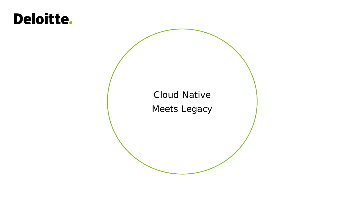# **Deloitte.**

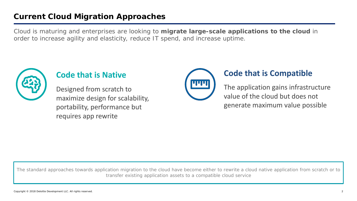## **Current Cloud Migration Approaches**

Cloud is maturing and enterprises are looking to **migrate large-scale applications to the cloud** in order to increase agility and elasticity, reduce IT spend, and increase uptime.



## **Code that is Native**

Designed from scratch to maximize design for scalability, portability, performance but requires app rewrite



## **Code that is Compatible**

The application gains infrastructure value of the cloud but does not generate maximum value possible

The standard approaches towards application migration to the cloud have become either to rewrite a cloud native application from scratch or to transfer existing application assets to a compatible cloud service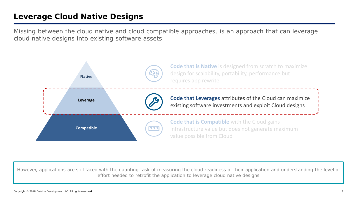## **Leverage Cloud Native Designs**

Missing between the cloud native and cloud compatible approaches, is an approach that can leverage cloud native designs into existing software assets



However, applications are still faced with the daunting task of measuring the cloud readiness of their application and understanding the level of effort needed to retrofit the application to leverage cloud native designs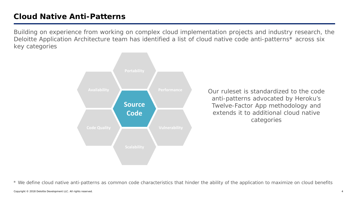## **Cloud Native Anti-Patterns**

Building on experience from working on complex cloud implementation projects and industry research, the Deloitte Application Architecture team has identified a list of cloud native code anti-patterns\* across six key categories



Our ruleset is standardized to the code anti-patterns advocated by Heroku's Twelve-Factor App methodology and extends it to additional cloud native categories

\* We define cloud native anti-patterns as common code characteristics that hinder the ability of the application to maximize on cloud benefits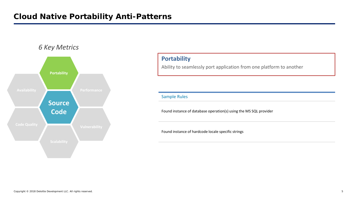

#### **Portability**

Ability to seamlessly port application from one platform to another

Sample Rules

Found instance of database operation(s) using the MS SQL provider

Found instance of hardcode locale specific strings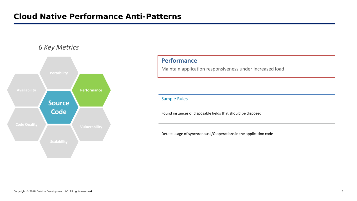

#### **Performance**

Maintain application responsiveness under increased load

Sample Rules

Found instances of disposable fields that should be disposed

Detect usage of synchronous I/O operations in the application code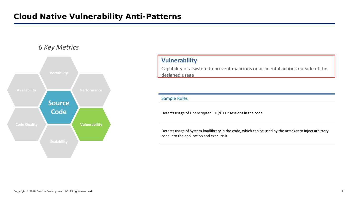

#### **Vulnerability**

Capability of a system to prevent malicious or accidental actions outside of the designed usage

#### Sample Rules

Detects usage of Unencrypted FTP/HTTP sessions in the code

Detects usage of System.loadlibrary in the code, which can be used by the attacker to inject arbitrary code into the application and execute it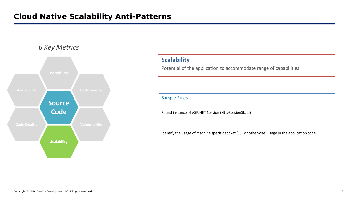

#### **Scalability**

Potential of the application to accommodate range of capabilities

Sample Rules

Found instance of ASP.NET Session (HttpSessionState)

Identify the usage of machine specific socket (SSL or otherwise) usage in the application code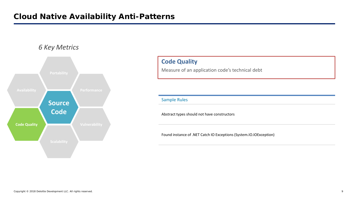

### **Code Quality**

Measure of an application code's technical debt

Sample Rules

Abstract types should not have constructors

Found instance of .NET Catch IO Exceptions (System.IO.IOException)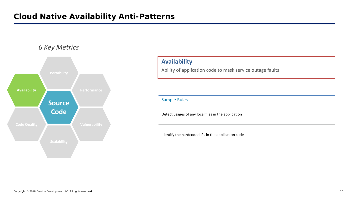

#### **Availability**

Ability of application code to mask service outage faults

Sample Rules

Detect usages of any local files in the application

Identify the hardcoded IPs in the application code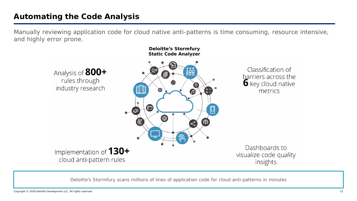## **Automating the Code Analysis**

Manually reviewing application code for cloud native anti-patterns is time consuming, resource intensive, and highly error prone.



Deloitte's Stormfury scans millions of lines of application code for cloud anti-patterns in minutes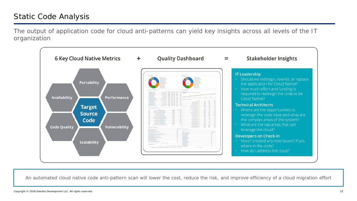## Static Code Analysis

The output of application code for cloud anti-patterns can yield key insights across all levels of the IT organization



An automated cloud native code anti-pattern scan will lower the cost, reduce the risk, and improve efficiency of a cloud migration effort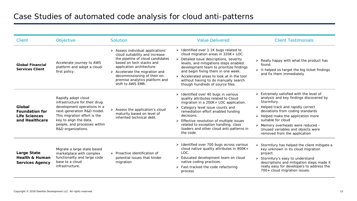| Client                                                                    | Objective                                                                                                                                                                                                                         | Solution                                                                                                                                                                                                                                                                                                 | <b>Value Delivered</b>                                                                                                                                                                                                                                                                                                                                                                      | <b>Client Testimonials</b>                                                                                                                                                                                                                                                                                                                                                                      |
|---------------------------------------------------------------------------|-----------------------------------------------------------------------------------------------------------------------------------------------------------------------------------------------------------------------------------|----------------------------------------------------------------------------------------------------------------------------------------------------------------------------------------------------------------------------------------------------------------------------------------------------------|---------------------------------------------------------------------------------------------------------------------------------------------------------------------------------------------------------------------------------------------------------------------------------------------------------------------------------------------------------------------------------------------|-------------------------------------------------------------------------------------------------------------------------------------------------------------------------------------------------------------------------------------------------------------------------------------------------------------------------------------------------------------------------------------------------|
| <b>Global Financial</b><br><b>Services Client</b>                         | Accelerate journey to AWS<br>platform and adopt a cloud-<br>first policy.                                                                                                                                                         | > Assess individual applications'<br>cloud suitability and increase<br>the pipeline of cloud candidates<br>based on tech stacks and<br>application architecture.<br>$\triangleright$ Accelerate the migration and<br>decommissioning of their on-<br>premise analytics platform and<br>shift to AWS EMR. | > Identified over 1.1K bugs related to<br>cloud migration areas in 320K+ LOC.<br>$\triangleright$ Detailed issue descriptions, severity<br>levels, and mitigations steps enabled<br>development team to prioritize findings<br>and begin fixing them in one week.<br>> Accelerated areas to look at in the tool<br>without having to do manually search<br>though hundreds of source files. | $\triangleright$ Really happy with what the product has<br>found.<br>$\triangleright$ It helped us target the big ticket findings<br>and fix them immediately                                                                                                                                                                                                                                   |
| Global<br><b>Foundation for</b><br><b>Life Sciences</b><br>and Healthcare | Rapidly adopt cloud<br>infrastructure for their drug<br>development operations in a<br>next-generation R&D model.<br>This migration effort is the<br>key to align the data,<br>people, and processes within<br>R&D organizations. | $\triangleright$ Assess the application's cloud<br>maturity based on level of<br>inherited technical debt.                                                                                                                                                                                               | $\triangleright$ Identified over 40 bugs in various<br>quality attributes related to Cloud<br>migration in a 200K+ LOC application.<br>> Category level issue counts and<br>remediation effort enabled funding<br>decisions.<br>> Effective resolution of multiple issues<br>related to exception handling, class<br>loaders and other cloud anti-patterns in<br>the code.                  | > Extremely satisfied with the level of<br>analysis and key findings discovered by<br>Stormfury.<br>$\triangleright$ Helped track and rapidly correct<br>deviations from coding standards<br>$\triangleright$ Helped make the application more<br>suitable for cloud<br>$\triangleright$ Memory overheads were reduced $-$<br>Unused variables and objects were<br>removed from the application |
| Large State<br><b>Health &amp; Human</b><br><b>Services Agency</b>        | Migrate a large state based<br>marketplace with complex<br>functionality and large code<br>base to a cloud<br>infrastructure.                                                                                                     | $\triangleright$ Proactive identification of<br>potential issues that hinder<br>migration                                                                                                                                                                                                                | > Identified over 700 bugs across various<br>cloud native quality attributes in 900K+<br>LOC.<br>> Educated development team on cloud<br>native coding practices.<br>$\triangleright$ Fast-tracked the code refactoring<br>process                                                                                                                                                          | Stormfury has helped the client mitigate a<br>key unknown in its cloud migration<br>project.<br>> Stormfury's easy to understand<br>descriptions and mitigation steps made it<br>really easy for developers to address the<br>700+ cloud migration issues.                                                                                                                                      |